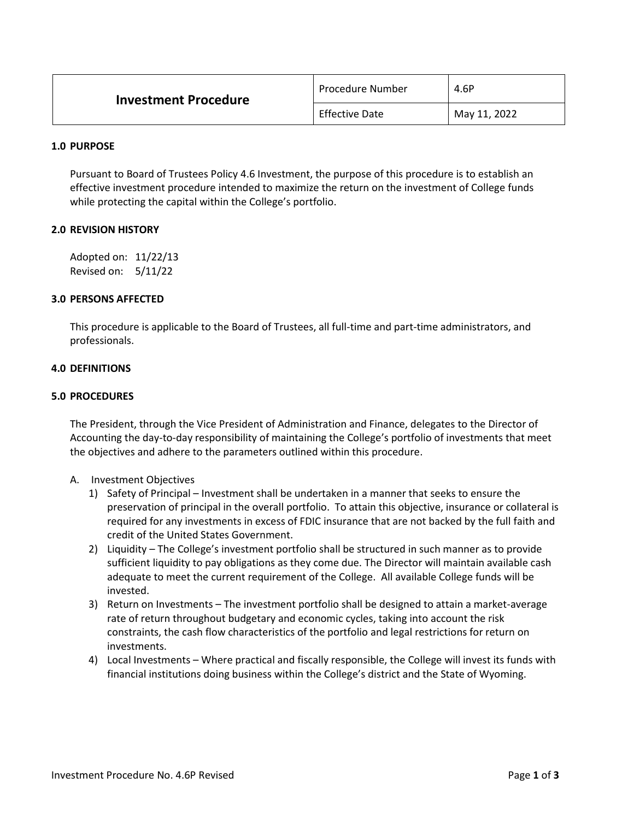| <b>Investment Procedure</b> | Procedure Number      | 4.6P         |
|-----------------------------|-----------------------|--------------|
|                             | <b>Effective Date</b> | May 11, 2022 |

#### **1.0 PURPOSE**

Pursuant to Board of Trustees Policy 4.6 Investment, the purpose of this procedure is to establish an effective investment procedure intended to maximize the return on the investment of College funds while protecting the capital within the College's portfolio.

## **2.0 REVISION HISTORY**

Adopted on: 11/22/13 Revised on: 5/11/22

## **3.0 PERSONS AFFECTED**

This procedure is applicable to the Board of Trustees, all full-time and part-time administrators, and professionals.

## **4.0 DEFINITIONS**

#### **5.0 PROCEDURES**

The President, through the Vice President of Administration and Finance, delegates to the Director of Accounting the day-to-day responsibility of maintaining the College's portfolio of investments that meet the objectives and adhere to the parameters outlined within this procedure.

# A. Investment Objectives

- 1) Safety of Principal Investment shall be undertaken in a manner that seeks to ensure the preservation of principal in the overall portfolio. To attain this objective, insurance or collateral is required for any investments in excess of FDIC insurance that are not backed by the full faith and credit of the United States Government.
- 2) Liquidity The College's investment portfolio shall be structured in such manner as to provide sufficient liquidity to pay obligations as they come due. The Director will maintain available cash adequate to meet the current requirement of the College. All available College funds will be invested.
- 3) Return on Investments The investment portfolio shall be designed to attain a market-average rate of return throughout budgetary and economic cycles, taking into account the risk constraints, the cash flow characteristics of the portfolio and legal restrictions for return on investments.
- 4) Local Investments Where practical and fiscally responsible, the College will invest its funds with financial institutions doing business within the College's district and the State of Wyoming.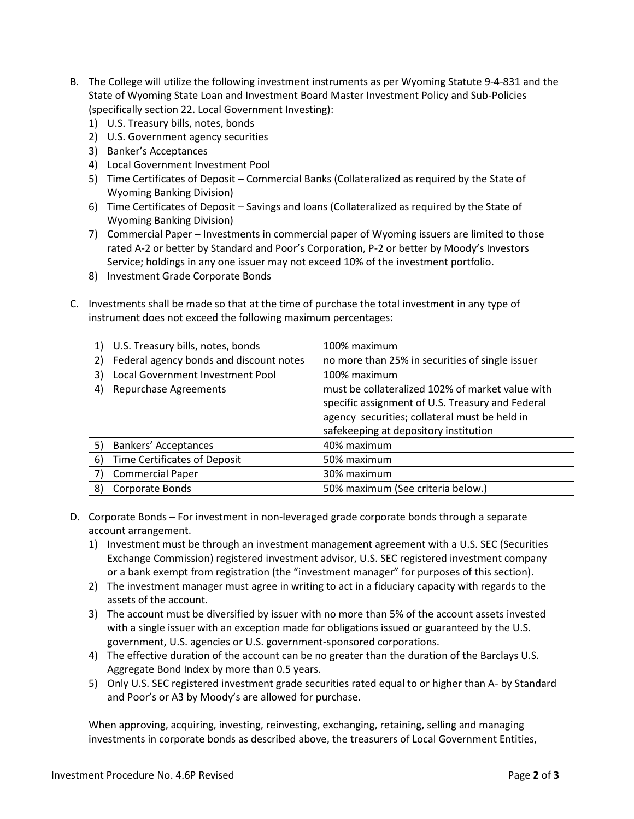- B. The College will utilize the following investment instruments as per Wyoming Statute 9-4-831 and the State of Wyoming State Loan and Investment Board Master Investment Policy and Sub-Policies (specifically section 22. Local Government Investing):
	- 1) U.S. Treasury bills, notes, bonds
	- 2) U.S. Government agency securities
	- 3) Banker's Acceptances
	- 4) Local Government Investment Pool
	- 5) Time Certificates of Deposit Commercial Banks (Collateralized as required by the State of Wyoming Banking Division)
	- 6) Time Certificates of Deposit Savings and loans (Collateralized as required by the State of Wyoming Banking Division)
	- 7) Commercial Paper Investments in commercial paper of Wyoming issuers are limited to those rated A-2 or better by Standard and Poor's Corporation, P-2 or better by Moody's Investors Service; holdings in any one issuer may not exceed 10% of the investment portfolio.
	- 8) Investment Grade Corporate Bonds
- C. Investments shall be made so that at the time of purchase the total investment in any type of instrument does not exceed the following maximum percentages:

| 1) | U.S. Treasury bills, notes, bonds       | 100% maximum                                                                                                                                                                                   |
|----|-----------------------------------------|------------------------------------------------------------------------------------------------------------------------------------------------------------------------------------------------|
| 2) | Federal agency bonds and discount notes | no more than 25% in securities of single issuer                                                                                                                                                |
| 3) | Local Government Investment Pool        | 100% maximum                                                                                                                                                                                   |
| 4) | <b>Repurchase Agreements</b>            | must be collateralized 102% of market value with<br>specific assignment of U.S. Treasury and Federal<br>agency securities; collateral must be held in<br>safekeeping at depository institution |
| 5) | <b>Bankers' Acceptances</b>             | 40% maximum                                                                                                                                                                                    |
| 6) | Time Certificates of Deposit            | 50% maximum                                                                                                                                                                                    |
|    | <b>Commercial Paper</b>                 | 30% maximum                                                                                                                                                                                    |
| 8) | Corporate Bonds                         | 50% maximum (See criteria below.)                                                                                                                                                              |

- D. Corporate Bonds For investment in non-leveraged grade corporate bonds through a separate account arrangement.
	- 1) Investment must be through an investment management agreement with a U.S. SEC (Securities Exchange Commission) registered investment advisor, U.S. SEC registered investment company or a bank exempt from registration (the "investment manager" for purposes of this section).
	- 2) The investment manager must agree in writing to act in a fiduciary capacity with regards to the assets of the account.
	- 3) The account must be diversified by issuer with no more than 5% of the account assets invested with a single issuer with an exception made for obligations issued or guaranteed by the U.S. government, U.S. agencies or U.S. government-sponsored corporations.
	- 4) The effective duration of the account can be no greater than the duration of the Barclays U.S. Aggregate Bond Index by more than 0.5 years.
	- 5) Only U.S. SEC registered investment grade securities rated equal to or higher than A- by Standard and Poor's or A3 by Moody's are allowed for purchase.

When approving, acquiring, investing, reinvesting, exchanging, retaining, selling and managing investments in corporate bonds as described above, the treasurers of Local Government Entities,